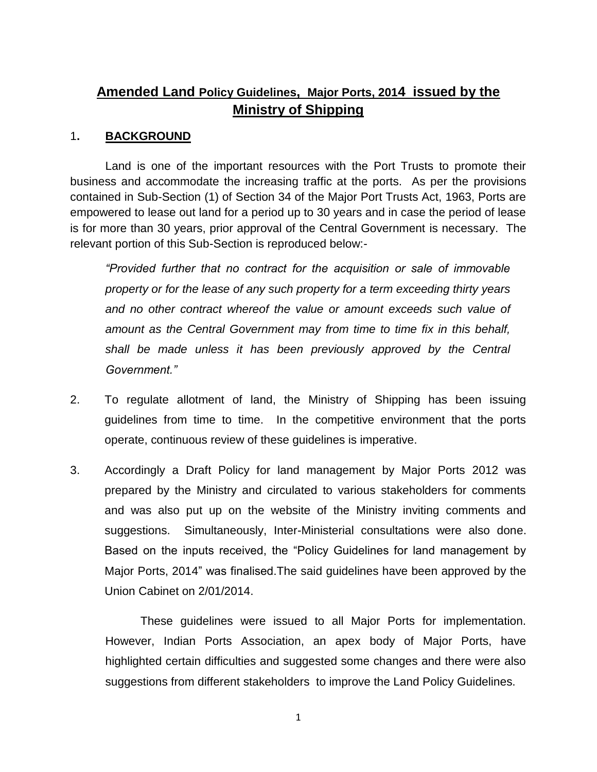# **Amended Land Policy Guidelines, Major Ports, 2014 issued by the Ministry of Shipping**

## 1**. BACKGROUND**

Land is one of the important resources with the Port Trusts to promote their business and accommodate the increasing traffic at the ports. As per the provisions contained in Sub-Section (1) of Section 34 of the Major Port Trusts Act, 1963, Ports are empowered to lease out land for a period up to 30 years and in case the period of lease is for more than 30 years, prior approval of the Central Government is necessary. The relevant portion of this Sub-Section is reproduced below:-

*"Provided further that no contract for the acquisition or sale of immovable property or for the lease of any such property for a term exceeding thirty years and no other contract whereof the value or amount exceeds such value of amount as the Central Government may from time to time fix in this behalf, shall be made unless it has been previously approved by the Central Government."* 

- 2. To regulate allotment of land, the Ministry of Shipping has been issuing guidelines from time to time. In the competitive environment that the ports operate, continuous review of these guidelines is imperative.
- 3. Accordingly a Draft Policy for land management by Major Ports 2012 was prepared by the Ministry and circulated to various stakeholders for comments and was also put up on the website of the Ministry inviting comments and suggestions. Simultaneously, Inter-Ministerial consultations were also done. Based on the inputs received, the "Policy Guidelines for land management by Major Ports, 2014" was finalised.The said guidelines have been approved by the Union Cabinet on 2/01/2014.

These guidelines were issued to all Major Ports for implementation. However, Indian Ports Association, an apex body of Major Ports, have highlighted certain difficulties and suggested some changes and there were also suggestions from different stakeholders to improve the Land Policy Guidelines.

1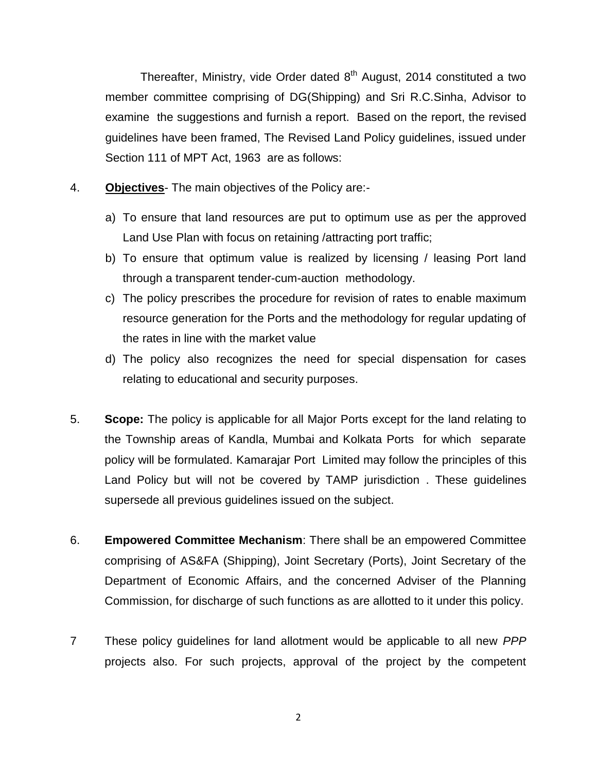Thereafter, Ministry, vide Order dated  $8<sup>th</sup>$  August, 2014 constituted a two member committee comprising of DG(Shipping) and Sri R.C.Sinha, Advisor to examine the suggestions and furnish a report. Based on the report, the revised guidelines have been framed, The Revised Land Policy guidelines, issued under Section 111 of MPT Act, 1963 are as follows:

- 4. **Objectives** The main objectives of the Policy are:
	- a) To ensure that land resources are put to optimum use as per the approved Land Use Plan with focus on retaining /attracting port traffic;
	- b) To ensure that optimum value is realized by licensing / leasing Port land through a transparent tender-cum-auction methodology.
	- c) The policy prescribes the procedure for revision of rates to enable maximum resource generation for the Ports and the methodology for regular updating of the rates in line with the market value
	- d) The policy also recognizes the need for special dispensation for cases relating to educational and security purposes.
- 5. **Scope:** The policy is applicable for all Major Ports except for the land relating to the Township areas of Kandla, Mumbai and Kolkata Ports for which separate policy will be formulated. Kamarajar Port Limited may follow the principles of this Land Policy but will not be covered by TAMP jurisdiction . These guidelines supersede all previous guidelines issued on the subject.
- 6. **Empowered Committee Mechanism**: There shall be an empowered Committee comprising of AS&FA (Shipping), Joint Secretary (Ports), Joint Secretary of the Department of Economic Affairs, and the concerned Adviser of the Planning Commission, for discharge of such functions as are allotted to it under this policy.
- 7 These policy guidelines for land allotment would be applicable to all new *PPP* projects also. For such projects, approval of the project by the competent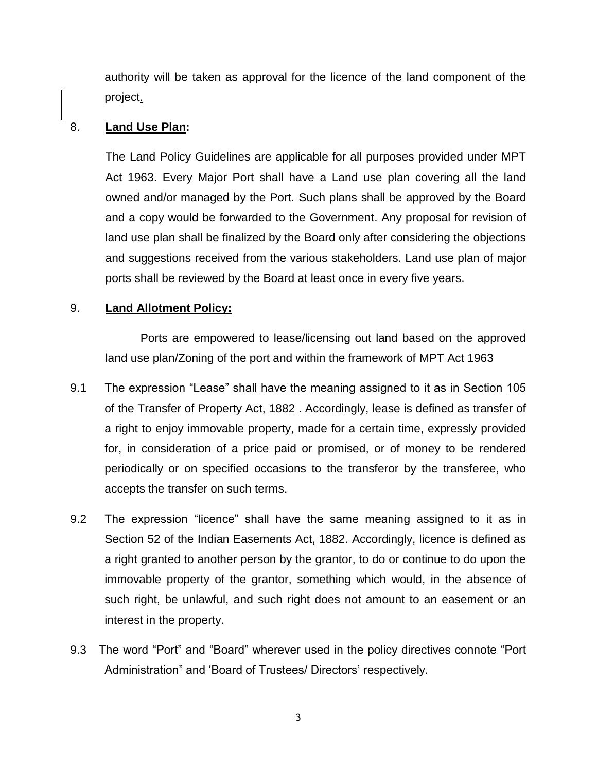authority will be taken as approval for the licence of the land component of the project.

#### 8. **Land Use Plan:**

The Land Policy Guidelines are applicable for all purposes provided under MPT Act 1963. Every Major Port shall have a Land use plan covering all the land owned and/or managed by the Port. Such plans shall be approved by the Board and a copy would be forwarded to the Government. Any proposal for revision of land use plan shall be finalized by the Board only after considering the objections and suggestions received from the various stakeholders. Land use plan of major ports shall be reviewed by the Board at least once in every five years.

## 9. **Land Allotment Policy:**

Ports are empowered to lease/licensing out land based on the approved land use plan/Zoning of the port and within the framework of MPT Act 1963

- 9.1 The expression "Lease" shall have the meaning assigned to it as in Section 105 of the Transfer of Property Act, 1882 . Accordingly, lease is defined as transfer of a right to enjoy immovable property, made for a certain time, expressly provided for, in consideration of a price paid or promised, or of money to be rendered periodically or on specified occasions to the transferor by the transferee, who accepts the transfer on such terms.
- 9.2 The expression "licence" shall have the same meaning assigned to it as in Section 52 of the Indian Easements Act, 1882. Accordingly, licence is defined as a right granted to another person by the grantor, to do or continue to do upon the immovable property of the grantor, something which would, in the absence of such right, be unlawful, and such right does not amount to an easement or an interest in the property.
- 9.3 The word "Port" and "Board" wherever used in the policy directives connote "Port Administration" and 'Board of Trustees/ Directors' respectively.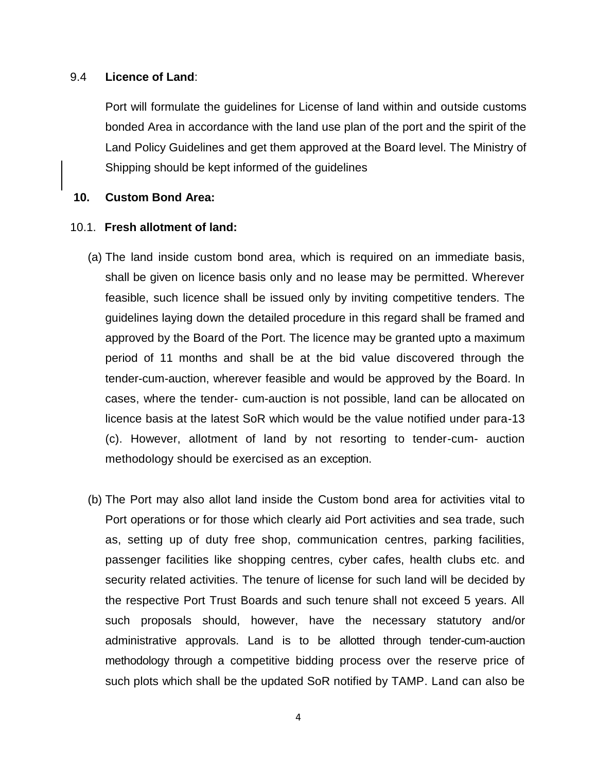#### 9.4 **Licence of Land**:

Port will formulate the guidelines for License of land within and outside customs bonded Area in accordance with the land use plan of the port and the spirit of the Land Policy Guidelines and get them approved at the Board level. The Ministry of Shipping should be kept informed of the guidelines

#### **10. Custom Bond Area:**

#### 10.1. **Fresh allotment of land:**

- (a) The land inside custom bond area, which is required on an immediate basis, shall be given on licence basis only and no lease may be permitted. Wherever feasible, such licence shall be issued only by inviting competitive tenders. The guidelines laying down the detailed procedure in this regard shall be framed and approved by the Board of the Port. The licence may be granted upto a maximum period of 11 months and shall be at the bid value discovered through the tender-cum-auction, wherever feasible and would be approved by the Board. In cases, where the tender- cum-auction is not possible, land can be allocated on licence basis at the latest SoR which would be the value notified under para-13 (c). However, allotment of land by not resorting to tender-cum- auction methodology should be exercised as an exception.
- (b) The Port may also allot land inside the Custom bond area for activities vital to Port operations or for those which clearly aid Port activities and sea trade, such as, setting up of duty free shop, communication centres, parking facilities, passenger facilities like shopping centres, cyber cafes, health clubs etc. and security related activities. The tenure of license for such land will be decided by the respective Port Trust Boards and such tenure shall not exceed 5 years. All such proposals should, however, have the necessary statutory and/or administrative approvals. Land is to be allotted through tender-cum-auction methodology through a competitive bidding process over the reserve price of such plots which shall be the updated SoR notified by TAMP. Land can also be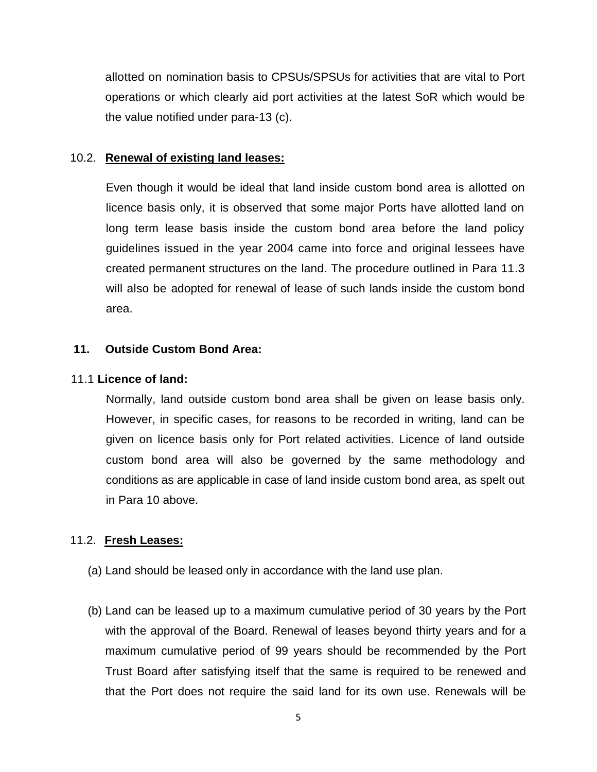allotted on nomination basis to CPSUs/SPSUs for activities that are vital to Port operations or which clearly aid port activities at the latest SoR which would be the value notified under para-13 (c).

#### 10.2. **Renewal of existing land leases:**

Even though it would be ideal that land inside custom bond area is allotted on licence basis only, it is observed that some major Ports have allotted land on long term lease basis inside the custom bond area before the land policy guidelines issued in the year 2004 came into force and original lessees have created permanent structures on the land. The procedure outlined in Para 11.3 will also be adopted for renewal of lease of such lands inside the custom bond area.

#### **11. Outside Custom Bond Area:**

#### 11.1 **Licence of land:**

Normally, land outside custom bond area shall be given on lease basis only. However, in specific cases, for reasons to be recorded in writing, land can be given on licence basis only for Port related activities. Licence of land outside custom bond area will also be governed by the same methodology and conditions as are applicable in case of land inside custom bond area, as spelt out in Para 10 above.

## 11.2. **Fresh Leases:**

- (a) Land should be leased only in accordance with the land use plan.
- (b) Land can be leased up to a maximum cumulative period of 30 years by the Port with the approval of the Board. Renewal of leases beyond thirty years and for a maximum cumulative period of 99 years should be recommended by the Port Trust Board after satisfying itself that the same is required to be renewed and that the Port does not require the said land for its own use. Renewals will be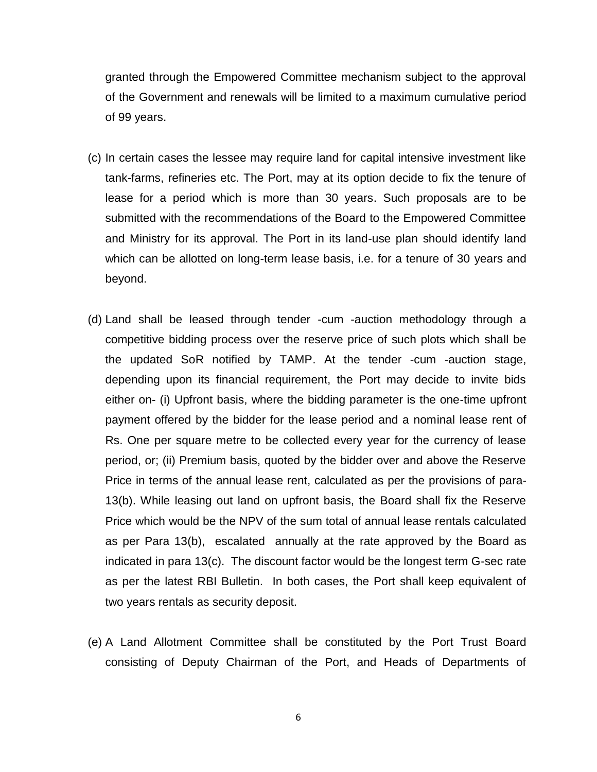granted through the Empowered Committee mechanism subject to the approval of the Government and renewals will be limited to a maximum cumulative period of 99 years.

- (c) In certain cases the lessee may require land for capital intensive investment like tank-farms, refineries etc. The Port, may at its option decide to fix the tenure of lease for a period which is more than 30 years. Such proposals are to be submitted with the recommendations of the Board to the Empowered Committee and Ministry for its approval. The Port in its land-use plan should identify land which can be allotted on long-term lease basis, i.e. for a tenure of 30 years and beyond.
- (d) Land shall be leased through tender -cum -auction methodology through a competitive bidding process over the reserve price of such plots which shall be the updated SoR notified by TAMP. At the tender -cum -auction stage, depending upon its financial requirement, the Port may decide to invite bids either on- (i) Upfront basis, where the bidding parameter is the one-time upfront payment offered by the bidder for the lease period and a nominal lease rent of Rs. One per square metre to be collected every year for the currency of lease period, or; (ii) Premium basis, quoted by the bidder over and above the Reserve Price in terms of the annual lease rent, calculated as per the provisions of para-13(b). While leasing out land on upfront basis, the Board shall fix the Reserve Price which would be the NPV of the sum total of annual lease rentals calculated as per Para 13(b), escalated annually at the rate approved by the Board as indicated in para 13(c). The discount factor would be the longest term G-sec rate as per the latest RBI Bulletin. In both cases, the Port shall keep equivalent of two years rentals as security deposit.
- (e) A Land Allotment Committee shall be constituted by the Port Trust Board consisting of Deputy Chairman of the Port, and Heads of Departments of

6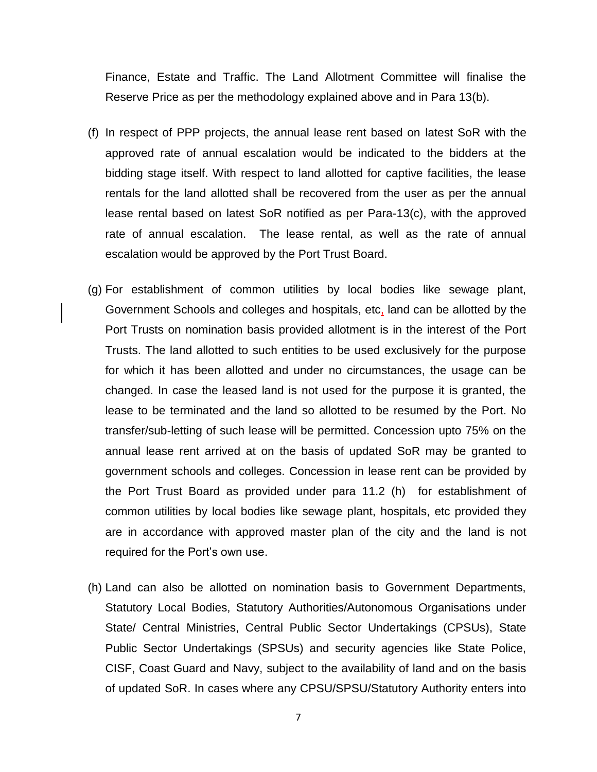Finance, Estate and Traffic. The Land Allotment Committee will finalise the Reserve Price as per the methodology explained above and in Para 13(b).

- (f) In respect of PPP projects, the annual lease rent based on latest SoR with the approved rate of annual escalation would be indicated to the bidders at the bidding stage itself. With respect to land allotted for captive facilities, the lease rentals for the land allotted shall be recovered from the user as per the annual lease rental based on latest SoR notified as per Para-13(c), with the approved rate of annual escalation. The lease rental, as well as the rate of annual escalation would be approved by the Port Trust Board.
- (g) For establishment of common utilities by local bodies like sewage plant, Government Schools and colleges and hospitals, etc, land can be allotted by the Port Trusts on nomination basis provided allotment is in the interest of the Port Trusts. The land allotted to such entities to be used exclusively for the purpose for which it has been allotted and under no circumstances, the usage can be changed. In case the leased land is not used for the purpose it is granted, the lease to be terminated and the land so allotted to be resumed by the Port. No transfer/sub-letting of such lease will be permitted. Concession upto 75% on the annual lease rent arrived at on the basis of updated SoR may be granted to government schools and colleges. Concession in lease rent can be provided by the Port Trust Board as provided under para 11.2 (h) for establishment of common utilities by local bodies like sewage plant, hospitals, etc provided they are in accordance with approved master plan of the city and the land is not required for the Port's own use.
- (h) Land can also be allotted on nomination basis to Government Departments, Statutory Local Bodies, Statutory Authorities/Autonomous Organisations under State/ Central Ministries, Central Public Sector Undertakings (CPSUs), State Public Sector Undertakings (SPSUs) and security agencies like State Police, CISF, Coast Guard and Navy, subject to the availability of land and on the basis of updated SoR. In cases where any CPSU/SPSU/Statutory Authority enters into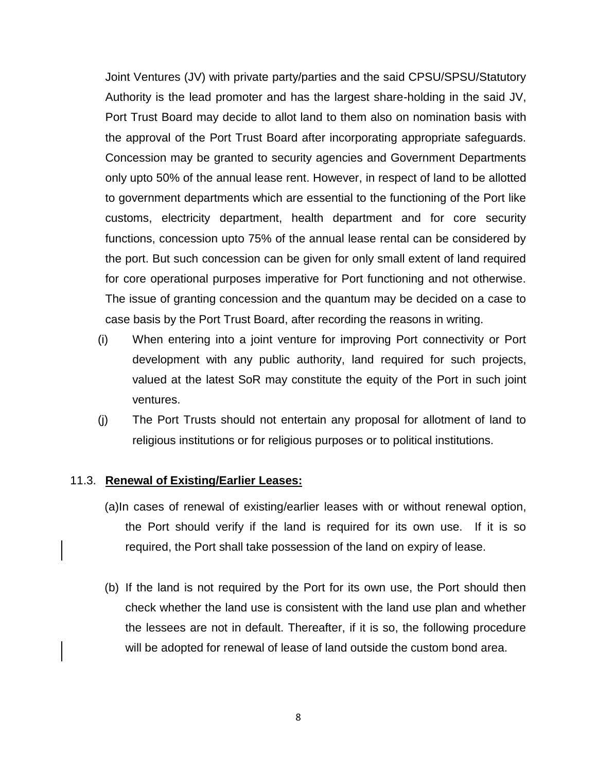Joint Ventures (JV) with private party/parties and the said CPSU/SPSU/Statutory Authority is the lead promoter and has the largest share-holding in the said JV, Port Trust Board may decide to allot land to them also on nomination basis with the approval of the Port Trust Board after incorporating appropriate safeguards. Concession may be granted to security agencies and Government Departments only upto 50% of the annual lease rent. However, in respect of land to be allotted to government departments which are essential to the functioning of the Port like customs, electricity department, health department and for core security functions, concession upto 75% of the annual lease rental can be considered by the port. But such concession can be given for only small extent of land required for core operational purposes imperative for Port functioning and not otherwise. The issue of granting concession and the quantum may be decided on a case to case basis by the Port Trust Board, after recording the reasons in writing.

- (i) When entering into a joint venture for improving Port connectivity or Port development with any public authority, land required for such projects, valued at the latest SoR may constitute the equity of the Port in such joint ventures.
- (j) The Port Trusts should not entertain any proposal for allotment of land to religious institutions or for religious purposes or to political institutions.

#### 11.3. **Renewal of Existing/Earlier Leases:**

- (a)In cases of renewal of existing/earlier leases with or without renewal option, the Port should verify if the land is required for its own use. If it is so required, the Port shall take possession of the land on expiry of lease.
- (b) If the land is not required by the Port for its own use, the Port should then check whether the land use is consistent with the land use plan and whether the lessees are not in default. Thereafter, if it is so, the following procedure will be adopted for renewal of lease of land outside the custom bond area.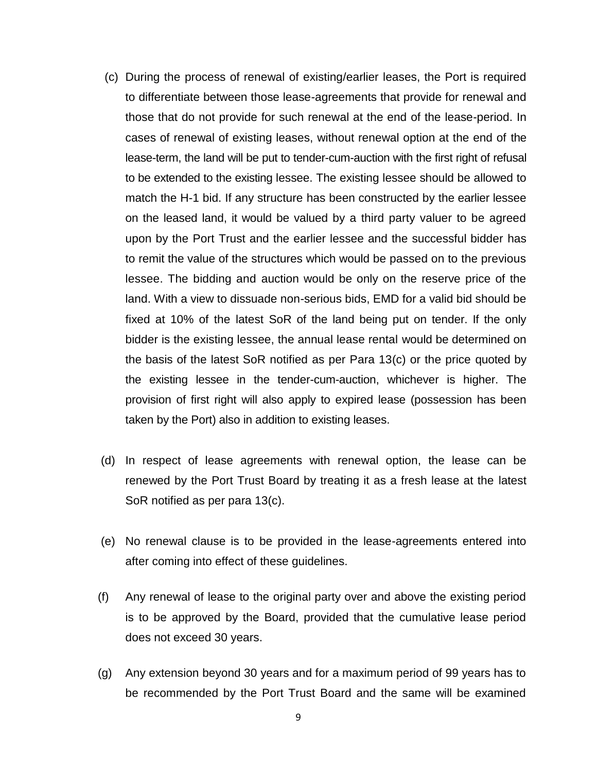- (c) During the process of renewal of existing/earlier leases, the Port is required to differentiate between those lease-agreements that provide for renewal and those that do not provide for such renewal at the end of the lease-period. In cases of renewal of existing leases, without renewal option at the end of the lease-term, the land will be put to tender-cum-auction with the first right of refusal to be extended to the existing lessee. The existing lessee should be allowed to match the H-1 bid. If any structure has been constructed by the earlier lessee on the leased land, it would be valued by a third party valuer to be agreed upon by the Port Trust and the earlier lessee and the successful bidder has to remit the value of the structures which would be passed on to the previous lessee. The bidding and auction would be only on the reserve price of the land. With a view to dissuade non-serious bids, EMD for a valid bid should be fixed at 10% of the latest SoR of the land being put on tender. If the only bidder is the existing lessee, the annual lease rental would be determined on the basis of the latest SoR notified as per Para 13(c) or the price quoted by the existing lessee in the tender-cum-auction, whichever is higher. The provision of first right will also apply to expired lease (possession has been taken by the Port) also in addition to existing leases.
- (d) In respect of lease agreements with renewal option, the lease can be renewed by the Port Trust Board by treating it as a fresh lease at the latest SoR notified as per para 13(c).
- (e) No renewal clause is to be provided in the lease-agreements entered into after coming into effect of these guidelines.
- (f) Any renewal of lease to the original party over and above the existing period is to be approved by the Board, provided that the cumulative lease period does not exceed 30 years.
- (g) Any extension beyond 30 years and for a maximum period of 99 years has to be recommended by the Port Trust Board and the same will be examined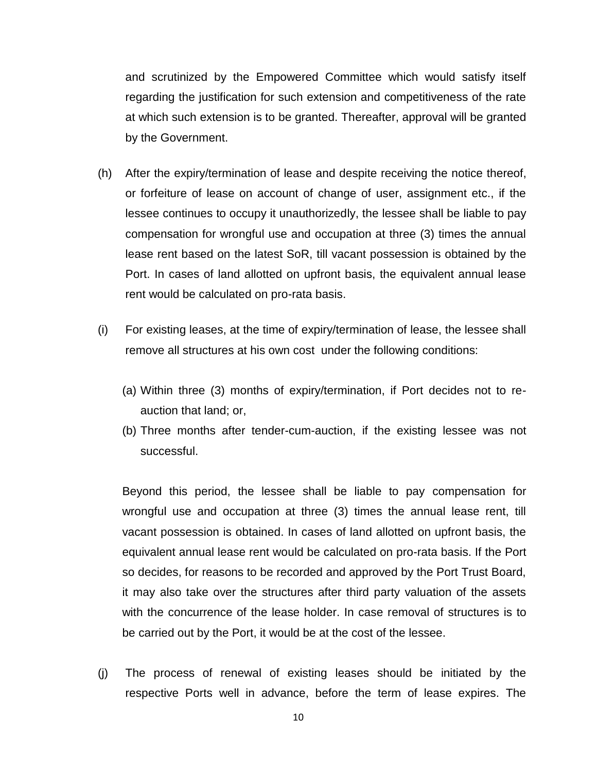and scrutinized by the Empowered Committee which would satisfy itself regarding the justification for such extension and competitiveness of the rate at which such extension is to be granted. Thereafter, approval will be granted by the Government.

- (h) After the expiry/termination of lease and despite receiving the notice thereof, or forfeiture of lease on account of change of user, assignment etc., if the lessee continues to occupy it unauthorizedly, the lessee shall be liable to pay compensation for wrongful use and occupation at three (3) times the annual lease rent based on the latest SoR, till vacant possession is obtained by the Port. In cases of land allotted on upfront basis, the equivalent annual lease rent would be calculated on pro-rata basis.
- (i) For existing leases, at the time of expiry/termination of lease, the lessee shall remove all structures at his own cost under the following conditions:
	- (a) Within three (3) months of expiry/termination, if Port decides not to reauction that land; or,
	- (b) Three months after tender-cum-auction, if the existing lessee was not successful.

Beyond this period, the lessee shall be liable to pay compensation for wrongful use and occupation at three (3) times the annual lease rent, till vacant possession is obtained. In cases of land allotted on upfront basis, the equivalent annual lease rent would be calculated on pro-rata basis. If the Port so decides, for reasons to be recorded and approved by the Port Trust Board, it may also take over the structures after third party valuation of the assets with the concurrence of the lease holder. In case removal of structures is to be carried out by the Port, it would be at the cost of the lessee.

(j) The process of renewal of existing leases should be initiated by the respective Ports well in advance, before the term of lease expires. The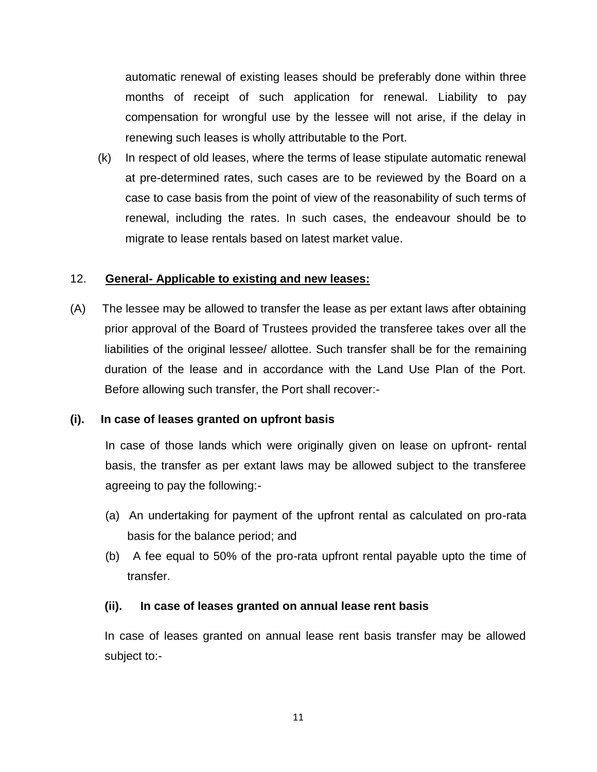automatic renewal of existing leases should be preferably done within three months of receipt of such application for renewal. Liability to pay compensation for wrongful use by the lessee will not arise, if the delay in renewing such leases is wholly attributable to the Port.

(k) In respect of old leases, where the terms of lease stipulate automatic renewal at pre-determined rates, such cases are to be reviewed by the Board on a case to case basis from the point of view of the reasonability of such terms of renewal, including the rates. In such cases, the endeavour should be to migrate to lease rentals based on latest market value.

## 12. **General- Applicable to existing and new leases:**

(A) The lessee may be allowed to transfer the lease as per extant laws after obtaining prior approval of the Board of Trustees provided the transferee takes over all the liabilities of the original lessee/ allottee. Such transfer shall be for the remaining duration of the lease and in accordance with the Land Use Plan of the Port. Before allowing such transfer, the Port shall recover:-

## **(i). In case of leases granted on upfront basis**

In case of those lands which were originally given on lease on upfront- rental basis, the transfer as per extant laws may be allowed subject to the transferee agreeing to pay the following:-

- (a) An undertaking for payment of the upfront rental as calculated on pro-rata basis for the balance period; and
- (b) A fee equal to 50% of the pro-rata upfront rental payable upto the time of transfer.

## **(ii). In case of leases granted on annual lease rent basis**

In case of leases granted on annual lease rent basis transfer may be allowed subject to:-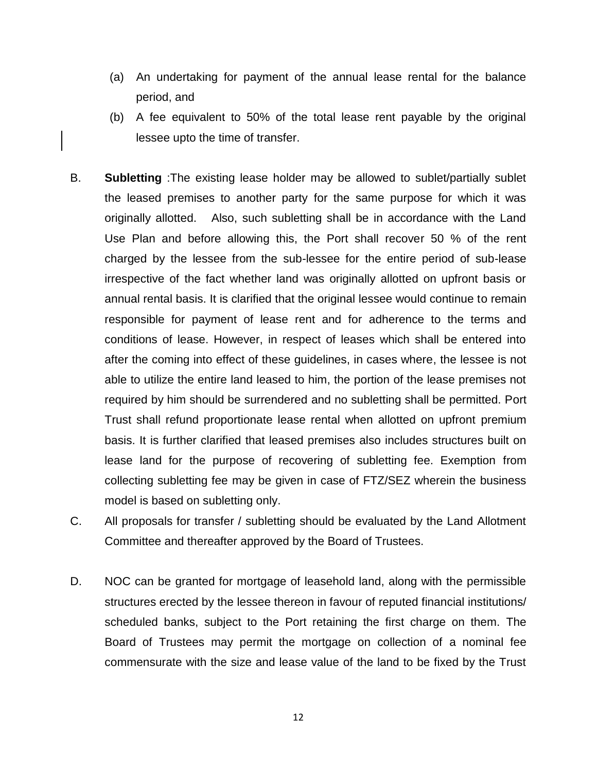- (a) An undertaking for payment of the annual lease rental for the balance period, and
- (b) A fee equivalent to 50% of the total lease rent payable by the original lessee upto the time of transfer.
- B. **Subletting** :The existing lease holder may be allowed to sublet/partially sublet the leased premises to another party for the same purpose for which it was originally allotted. Also, such subletting shall be in accordance with the Land Use Plan and before allowing this, the Port shall recover 50 % of the rent charged by the lessee from the sub-lessee for the entire period of sub-lease irrespective of the fact whether land was originally allotted on upfront basis or annual rental basis. It is clarified that the original lessee would continue to remain responsible for payment of lease rent and for adherence to the terms and conditions of lease. However, in respect of leases which shall be entered into after the coming into effect of these guidelines, in cases where, the lessee is not able to utilize the entire land leased to him, the portion of the lease premises not required by him should be surrendered and no subletting shall be permitted. Port Trust shall refund proportionate lease rental when allotted on upfront premium basis. It is further clarified that leased premises also includes structures built on lease land for the purpose of recovering of subletting fee. Exemption from collecting subletting fee may be given in case of FTZ/SEZ wherein the business model is based on subletting only.
- C. All proposals for transfer / subletting should be evaluated by the Land Allotment Committee and thereafter approved by the Board of Trustees.
- D. NOC can be granted for mortgage of leasehold land, along with the permissible structures erected by the lessee thereon in favour of reputed financial institutions/ scheduled banks, subject to the Port retaining the first charge on them. The Board of Trustees may permit the mortgage on collection of a nominal fee commensurate with the size and lease value of the land to be fixed by the Trust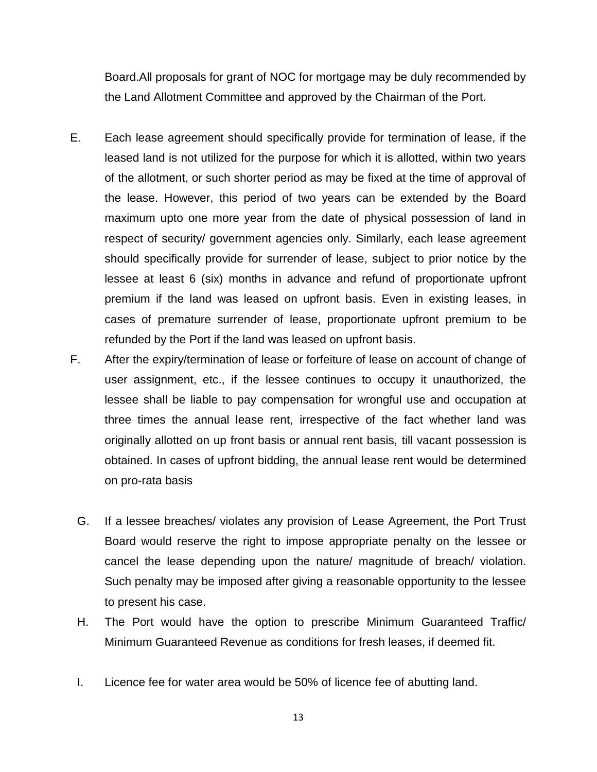Board.All proposals for grant of NOC for mortgage may be duly recommended by the Land Allotment Committee and approved by the Chairman of the Port.

- E. Each lease agreement should specifically provide for termination of lease, if the leased land is not utilized for the purpose for which it is allotted, within two years of the allotment, or such shorter period as may be fixed at the time of approval of the lease. However, this period of two years can be extended by the Board maximum upto one more year from the date of physical possession of land in respect of security/ government agencies only. Similarly, each lease agreement should specifically provide for surrender of lease, subject to prior notice by the lessee at least 6 (six) months in advance and refund of proportionate upfront premium if the land was leased on upfront basis. Even in existing leases, in cases of premature surrender of lease, proportionate upfront premium to be refunded by the Port if the land was leased on upfront basis.
- F. After the expiry/termination of lease or forfeiture of lease on account of change of user assignment, etc., if the lessee continues to occupy it unauthorized, the lessee shall be liable to pay compensation for wrongful use and occupation at three times the annual lease rent, irrespective of the fact whether land was originally allotted on up front basis or annual rent basis, till vacant possession is obtained. In cases of upfront bidding, the annual lease rent would be determined on pro-rata basis
	- G. If a lessee breaches/ violates any provision of Lease Agreement, the Port Trust Board would reserve the right to impose appropriate penalty on the lessee or cancel the lease depending upon the nature/ magnitude of breach/ violation. Such penalty may be imposed after giving a reasonable opportunity to the lessee to present his case.
	- H. The Port would have the option to prescribe Minimum Guaranteed Traffic/ Minimum Guaranteed Revenue as conditions for fresh leases, if deemed fit.
	- I. Licence fee for water area would be 50% of licence fee of abutting land.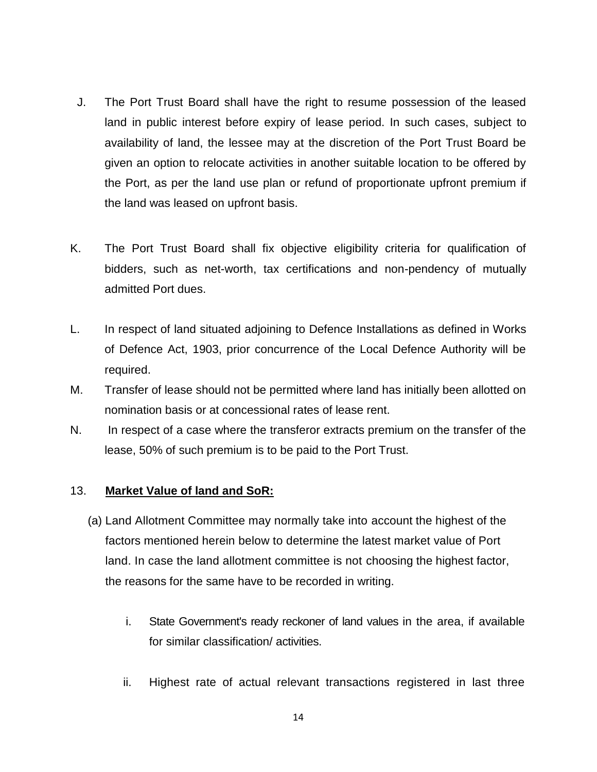- J. The Port Trust Board shall have the right to resume possession of the leased land in public interest before expiry of lease period. In such cases, subject to availability of land, the lessee may at the discretion of the Port Trust Board be given an option to relocate activities in another suitable location to be offered by the Port, as per the land use plan or refund of proportionate upfront premium if the land was leased on upfront basis.
- K. The Port Trust Board shall fix objective eligibility criteria for qualification of bidders, such as net-worth, tax certifications and non-pendency of mutually admitted Port dues.
- L. In respect of land situated adjoining to Defence Installations as defined in Works of Defence Act, 1903, prior concurrence of the Local Defence Authority will be required.
- M. Transfer of lease should not be permitted where land has initially been allotted on nomination basis or at concessional rates of lease rent.
- N. In respect of a case where the transferor extracts premium on the transfer of the lease, 50% of such premium is to be paid to the Port Trust.

## 13. **Market Value of land and SoR:**

- (a) Land Allotment Committee may normally take into account the highest of the factors mentioned herein below to determine the latest market value of Port land. In case the land allotment committee is not choosing the highest factor, the reasons for the same have to be recorded in writing.
	- i. State Government's ready reckoner of land values in the area, if available for similar classification/ activities.
	- ii. Highest rate of actual relevant transactions registered in last three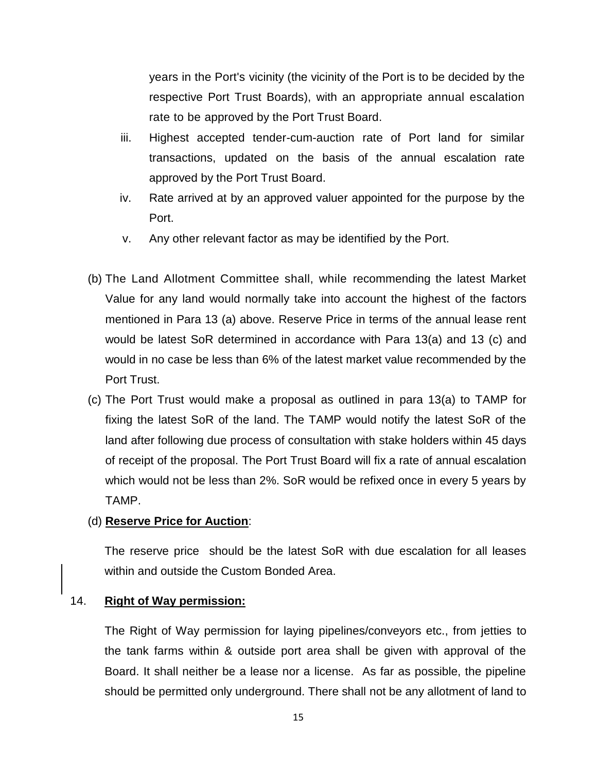years in the Port's vicinity (the vicinity of the Port is to be decided by the respective Port Trust Boards), with an appropriate annual escalation rate to be approved by the Port Trust Board.

- iii. Highest accepted tender-cum-auction rate of Port land for similar transactions, updated on the basis of the annual escalation rate approved by the Port Trust Board.
- iv. Rate arrived at by an approved valuer appointed for the purpose by the Port.
- v. Any other relevant factor as may be identified by the Port.
- (b) The Land Allotment Committee shall, while recommending the latest Market Value for any land would normally take into account the highest of the factors mentioned in Para 13 (a) above. Reserve Price in terms of the annual lease rent would be latest SoR determined in accordance with Para 13(a) and 13 (c) and would in no case be less than 6% of the latest market value recommended by the Port Trust.
- (c) The Port Trust would make a proposal as outlined in para 13(a) to TAMP for fixing the latest SoR of the land. The TAMP would notify the latest SoR of the land after following due process of consultation with stake holders within 45 days of receipt of the proposal. The Port Trust Board will fix a rate of annual escalation which would not be less than 2%. SoR would be refixed once in every 5 years by TAMP.

## (d) **Reserve Price for Auction**:

The reserve price should be the latest SoR with due escalation for all leases within and outside the Custom Bonded Area.

#### 14. **Right of Way permission:**

The Right of Way permission for laying pipelines/conveyors etc., from jetties to the tank farms within & outside port area shall be given with approval of the Board. It shall neither be a lease nor a license. As far as possible, the pipeline should be permitted only underground. There shall not be any allotment of land to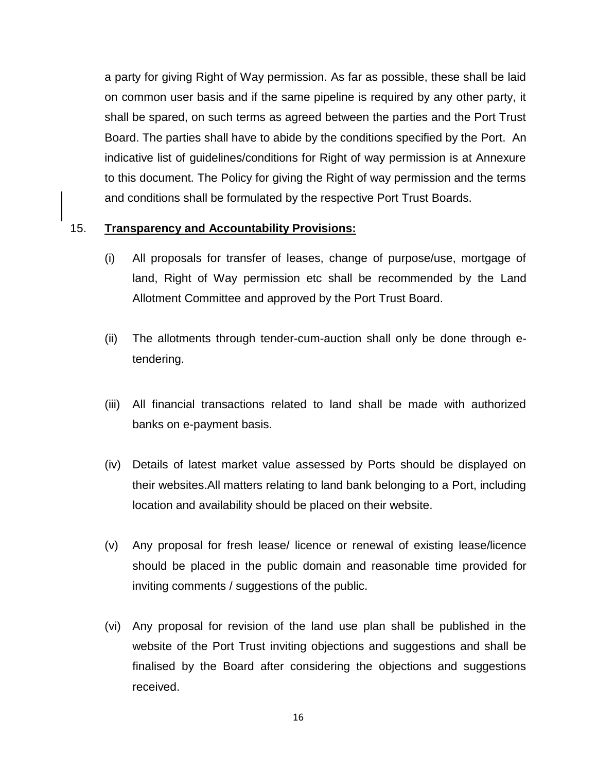a party for giving Right of Way permission. As far as possible, these shall be laid on common user basis and if the same pipeline is required by any other party, it shall be spared, on such terms as agreed between the parties and the Port Trust Board. The parties shall have to abide by the conditions specified by the Port. An indicative list of guidelines/conditions for Right of way permission is at Annexure to this document. The Policy for giving the Right of way permission and the terms and conditions shall be formulated by the respective Port Trust Boards.

## 15. **Transparency and Accountability Provisions:**

- (i) All proposals for transfer of leases, change of purpose/use, mortgage of land, Right of Way permission etc shall be recommended by the Land Allotment Committee and approved by the Port Trust Board.
- (ii) The allotments through tender-cum-auction shall only be done through etendering.
- (iii) All financial transactions related to land shall be made with authorized banks on e-payment basis.
- (iv) Details of latest market value assessed by Ports should be displayed on their websites.All matters relating to land bank belonging to a Port, including location and availability should be placed on their website.
- (v) Any proposal for fresh lease/ licence or renewal of existing lease/licence should be placed in the public domain and reasonable time provided for inviting comments / suggestions of the public.
- (vi) Any proposal for revision of the land use plan shall be published in the website of the Port Trust inviting objections and suggestions and shall be finalised by the Board after considering the objections and suggestions received.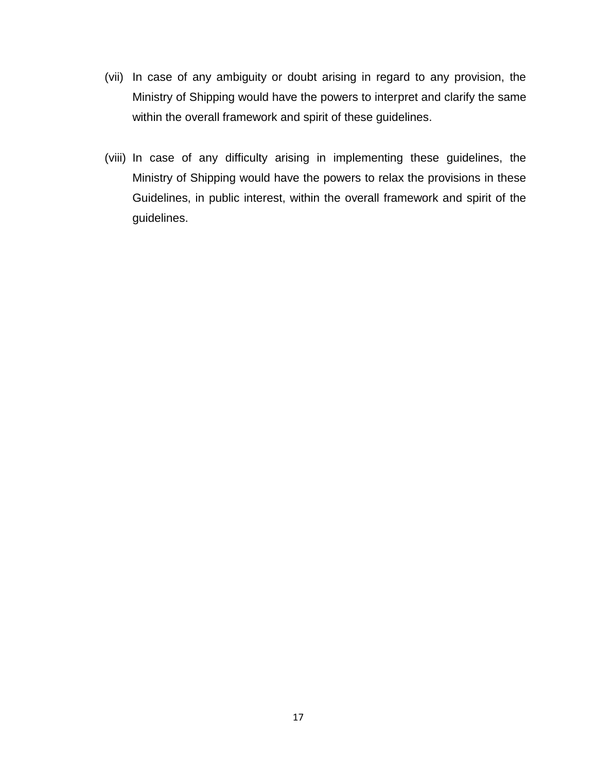- (vii) In case of any ambiguity or doubt arising in regard to any provision, the Ministry of Shipping would have the powers to interpret and clarify the same within the overall framework and spirit of these guidelines.
- (viii) In case of any difficulty arising in implementing these guidelines, the Ministry of Shipping would have the powers to relax the provisions in these Guidelines, in public interest, within the overall framework and spirit of the guidelines.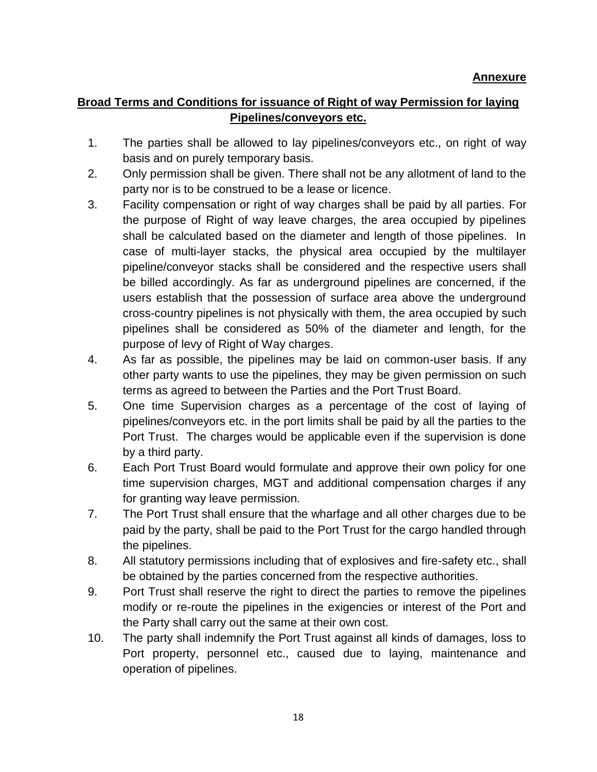## **Broad Terms and Conditions for issuance of Right of way Permission for laying Pipelines/conveyors etc.**

- 1. The parties shall be allowed to lay pipelines/conveyors etc., on right of way basis and on purely temporary basis.
- 2. Only permission shall be given. There shall not be any allotment of land to the party nor is to be construed to be a lease or licence.
- 3. Facility compensation or right of way charges shall be paid by all parties. For the purpose of Right of way leave charges, the area occupied by pipelines shall be calculated based on the diameter and length of those pipelines. In case of multi-layer stacks, the physical area occupied by the multilayer pipeline/conveyor stacks shall be considered and the respective users shall be billed accordingly. As far as underground pipelines are concerned, if the users establish that the possession of surface area above the underground cross-country pipelines is not physically with them, the area occupied by such pipelines shall be considered as 50% of the diameter and length, for the purpose of levy of Right of Way charges.
- 4. As far as possible, the pipelines may be laid on common-user basis. If any other party wants to use the pipelines, they may be given permission on such terms as agreed to between the Parties and the Port Trust Board.
- 5. One time Supervision charges as a percentage of the cost of laying of pipelines/conveyors etc. in the port limits shall be paid by all the parties to the Port Trust. The charges would be applicable even if the supervision is done by a third party.
- 6. Each Port Trust Board would formulate and approve their own policy for one time supervision charges, MGT and additional compensation charges if any for granting way leave permission.
- 7. The Port Trust shall ensure that the wharfage and all other charges due to be paid by the party, shall be paid to the Port Trust for the cargo handled through the pipelines.
- 8. All statutory permissions including that of explosives and fire-safety etc., shall be obtained by the parties concerned from the respective authorities.
- 9. Port Trust shall reserve the right to direct the parties to remove the pipelines modify or re-route the pipelines in the exigencies or interest of the Port and the Party shall carry out the same at their own cost.
- 10. The party shall indemnify the Port Trust against all kinds of damages, loss to Port property, personnel etc., caused due to laying, maintenance and operation of pipelines.